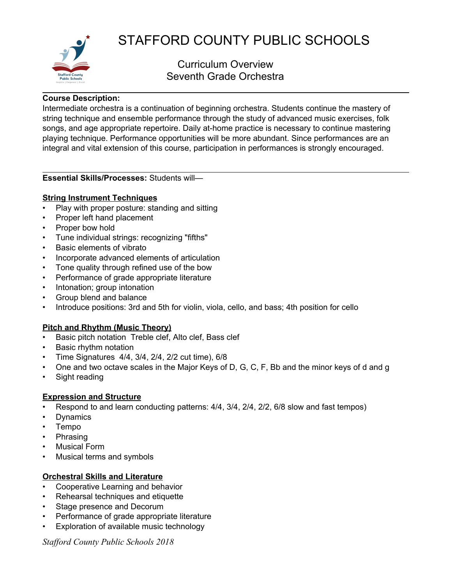

# STAFFORD COUNTY PUBLIC SCHOOLS

# Curriculum Overview Seventh Grade Orchestra

#### **Course Description:**

Intermediate orchestra is a continuation of beginning orchestra. Students continue the mastery of string technique and ensemble performance through the study of advanced music exercises, folk songs, and age appropriate repertoire. Daily at-home practice is necessary to continue mastering playing technique. Performance opportunities will be more abundant. Since performances are an integral and vital extension of this course, participation in performances is strongly encouraged.

#### **Essential Skills/Processes:** Students will—

#### **String Instrument Techniques**

- Play with proper posture: standing and sitting
- Proper left hand placement
- Proper bow hold
- Tune individual strings: recognizing "fifths"
- Basic elements of vibrato
- Incorporate advanced elements of articulation
- Tone quality through refined use of the bow
- Performance of grade appropriate literature
- Intonation; group intonation
- Group blend and balance
- Introduce positions: 3rd and 5th for violin, viola, cello, and bass; 4th position for cello

#### **Pitch and Rhythm (Music Theory)**

- Basic pitch notation Treble clef, Alto clef, Bass clef
- Basic rhythm notation
- Time Signatures 4/4, 3/4, 2/4, 2/2 cut time), 6/8
- One and two octave scales in the Major Keys of D, G, C, F, Bb and the minor keys of d and g
- Sight reading

#### **Expression and Structure**

- Respond to and learn conducting patterns: 4/4, 3/4, 2/4, 2/2, 6/8 slow and fast tempos)
- Dynamics
- Tempo
- Phrasing
- **Musical Form**
- Musical terms and symbols

#### **Orchestral Skills and Literature**

- Cooperative Learning and behavior
- Rehearsal techniques and etiquette
- Stage presence and Decorum
- Performance of grade appropriate literature
- Exploration of available music technology

*Stafford County Public Schools 2018*